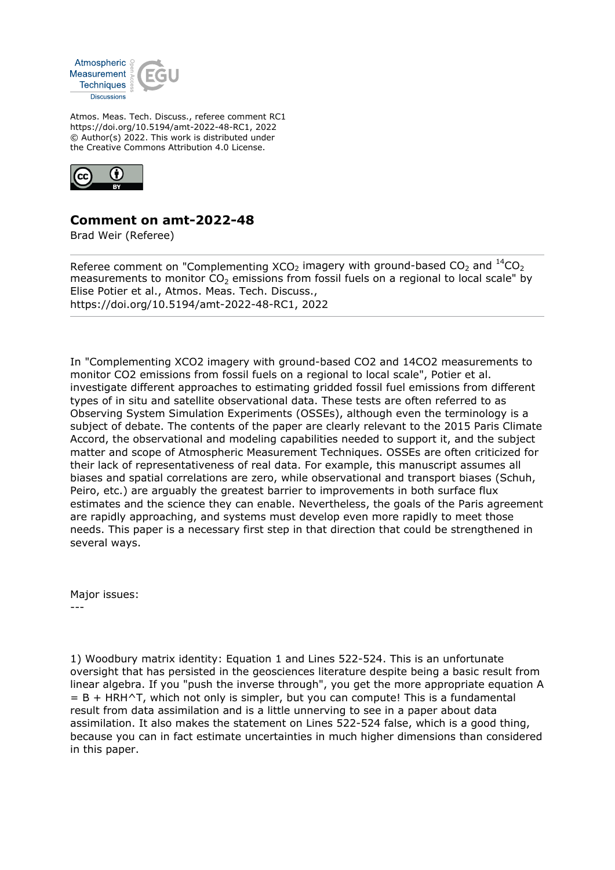

Atmos. Meas. Tech. Discuss., referee comment RC1 https://doi.org/10.5194/amt-2022-48-RC1, 2022 © Author(s) 2022. This work is distributed under the Creative Commons Attribution 4.0 License.



## **Comment on amt-2022-48**

Brad Weir (Referee)

Referee comment on "Complementing  $XCO<sub>2</sub>$  imagery with ground-based  $CO<sub>2</sub>$  and  $^{14}CO<sub>2</sub>$ measurements to monitor  $CO<sub>2</sub>$  emissions from fossil fuels on a regional to local scale" by Elise Potier et al., Atmos. Meas. Tech. Discuss., https://doi.org/10.5194/amt-2022-48-RC1, 2022

In "Complementing XCO2 imagery with ground-based CO2 and 14CO2 measurements to monitor CO2 emissions from fossil fuels on a regional to local scale", Potier et al. investigate different approaches to estimating gridded fossil fuel emissions from different types of in situ and satellite observational data. These tests are often referred to as Observing System Simulation Experiments (OSSEs), although even the terminology is a subject of debate. The contents of the paper are clearly relevant to the 2015 Paris Climate Accord, the observational and modeling capabilities needed to support it, and the subject matter and scope of Atmospheric Measurement Techniques. OSSEs are often criticized for their lack of representativeness of real data. For example, this manuscript assumes all biases and spatial correlations are zero, while observational and transport biases (Schuh, Peiro, etc.) are arguably the greatest barrier to improvements in both surface flux estimates and the science they can enable. Nevertheless, the goals of the Paris agreement are rapidly approaching, and systems must develop even more rapidly to meet those needs. This paper is a necessary first step in that direction that could be strengthened in several ways.

Major issues: ---

1) Woodbury matrix identity: Equation 1 and Lines 522-524. This is an unfortunate oversight that has persisted in the geosciences literature despite being a basic result from linear algebra. If you "push the inverse through", you get the more appropriate equation A  $= B + HRH^T$ , which not only is simpler, but you can compute! This is a fundamental result from data assimilation and is a little unnerving to see in a paper about data assimilation. It also makes the statement on Lines 522-524 false, which is a good thing, because you can in fact estimate uncertainties in much higher dimensions than considered in this paper.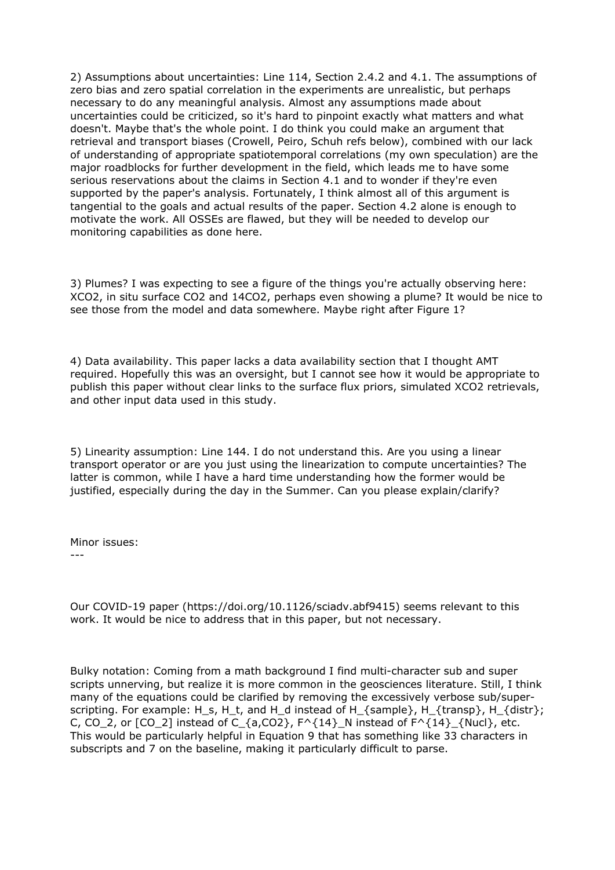2) Assumptions about uncertainties: Line 114, Section 2.4.2 and 4.1. The assumptions of zero bias and zero spatial correlation in the experiments are unrealistic, but perhaps necessary to do any meaningful analysis. Almost any assumptions made about uncertainties could be criticized, so it's hard to pinpoint exactly what matters and what doesn't. Maybe that's the whole point. I do think you could make an argument that retrieval and transport biases (Crowell, Peiro, Schuh refs below), combined with our lack of understanding of appropriate spatiotemporal correlations (my own speculation) are the major roadblocks for further development in the field, which leads me to have some serious reservations about the claims in Section 4.1 and to wonder if they're even supported by the paper's analysis. Fortunately, I think almost all of this argument is tangential to the goals and actual results of the paper. Section 4.2 alone is enough to motivate the work. All OSSEs are flawed, but they will be needed to develop our monitoring capabilities as done here.

3) Plumes? I was expecting to see a figure of the things you're actually observing here: XCO2, in situ surface CO2 and 14CO2, perhaps even showing a plume? It would be nice to see those from the model and data somewhere. Maybe right after Figure 1?

4) Data availability. This paper lacks a data availability section that I thought AMT required. Hopefully this was an oversight, but I cannot see how it would be appropriate to publish this paper without clear links to the surface flux priors, simulated XCO2 retrievals, and other input data used in this study.

5) Linearity assumption: Line 144. I do not understand this. Are you using a linear transport operator or are you just using the linearization to compute uncertainties? The latter is common, while I have a hard time understanding how the former would be justified, especially during the day in the Summer. Can you please explain/clarify?

Minor issues:

---

Our COVID-19 paper (https://doi.org/10.1126/sciadv.abf9415) seems relevant to this work. It would be nice to address that in this paper, but not necessary.

Bulky notation: Coming from a math background I find multi-character sub and super scripts unnerving, but realize it is more common in the geosciences literature. Still, I think many of the equations could be clarified by removing the excessively verbose sub/superscripting. For example: H\_s, H\_t, and H\_d instead of H\_{sample}, H\_{transp}, H\_{distr}; C, CO\_2, or  $[CO_2]$  instead of C\_{a,CO2},  $F^{\wedge}$ {14}\_N instead of  $F^{\wedge}$ {14}\_{Nucl}, etc. This would be particularly helpful in Equation 9 that has something like 33 characters in subscripts and 7 on the baseline, making it particularly difficult to parse.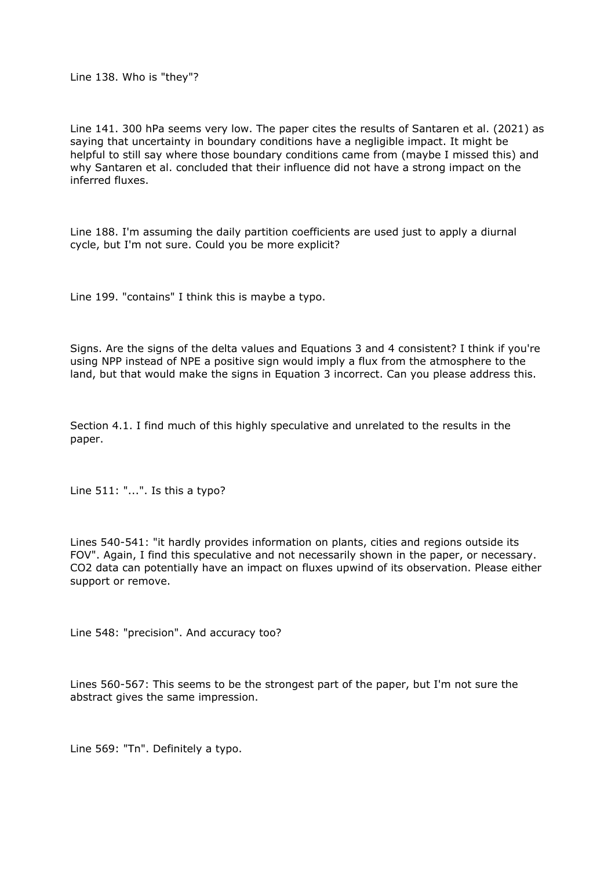Line 138. Who is "they"?

Line 141. 300 hPa seems very low. The paper cites the results of Santaren et al. (2021) as saying that uncertainty in boundary conditions have a negligible impact. It might be helpful to still say where those boundary conditions came from (maybe I missed this) and why Santaren et al. concluded that their influence did not have a strong impact on the inferred fluxes.

Line 188. I'm assuming the daily partition coefficients are used just to apply a diurnal cycle, but I'm not sure. Could you be more explicit?

Line 199. "contains" I think this is maybe a typo.

Signs. Are the signs of the delta values and Equations 3 and 4 consistent? I think if you're using NPP instead of NPE a positive sign would imply a flux from the atmosphere to the land, but that would make the signs in Equation 3 incorrect. Can you please address this.

Section 4.1. I find much of this highly speculative and unrelated to the results in the paper.

Line 511: "...". Is this a typo?

Lines 540-541: "it hardly provides information on plants, cities and regions outside its FOV". Again, I find this speculative and not necessarily shown in the paper, or necessary. CO2 data can potentially have an impact on fluxes upwind of its observation. Please either support or remove.

Line 548: "precision". And accuracy too?

Lines 560-567: This seems to be the strongest part of the paper, but I'm not sure the abstract gives the same impression.

Line 569: "Tn". Definitely a typo.